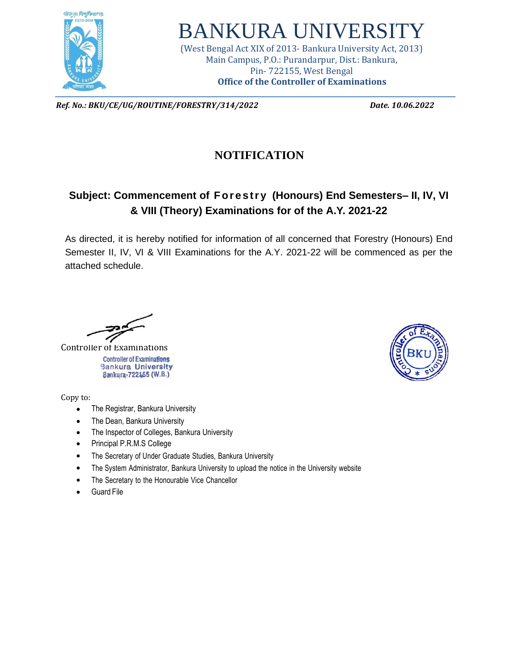

## BANKURA UNIVERSIT

(West Bengal Act XIX of 2013- Bankura University Act, 2013) Main Campus, P.O.: Purandarpur, Dist.: Bankura, Pin- 722155, West Bengal **Office of the Controller of Examinations**

*Ref. No.: BKU/CE/UG/ROUTINE/FORESTRY/314/2022 Date. 10.06.2022*

## **NOTIFICATION**

## **Subject: Commencement of For estr y (Honours) End Semesters– II, IV, VI & VIII (Theory) Examinations for of the A.Y. 2021-22**

As directed, it is hereby notified for information of all concerned that Forestry (Honours) End Semester II, IV, VI & VIII Examinations for the A.Y. 2021-22 will be commenced as per the attached schedule.

Controller of Examinations **Controller of Examinations Bankura University** Bankura-722455 (W.B.)

Copy to:

- The Registrar, Bankura University
- The Dean, Bankura University
- The Inspector of Colleges, Bankura University
- Principal P.R.M.S College
- The Secretary of Under Graduate Studies, Bankura University
- The System Administrator, Bankura University to upload the notice in the University website
- The Secretary to the Honourable Vice Chancellor
- **Guard File**